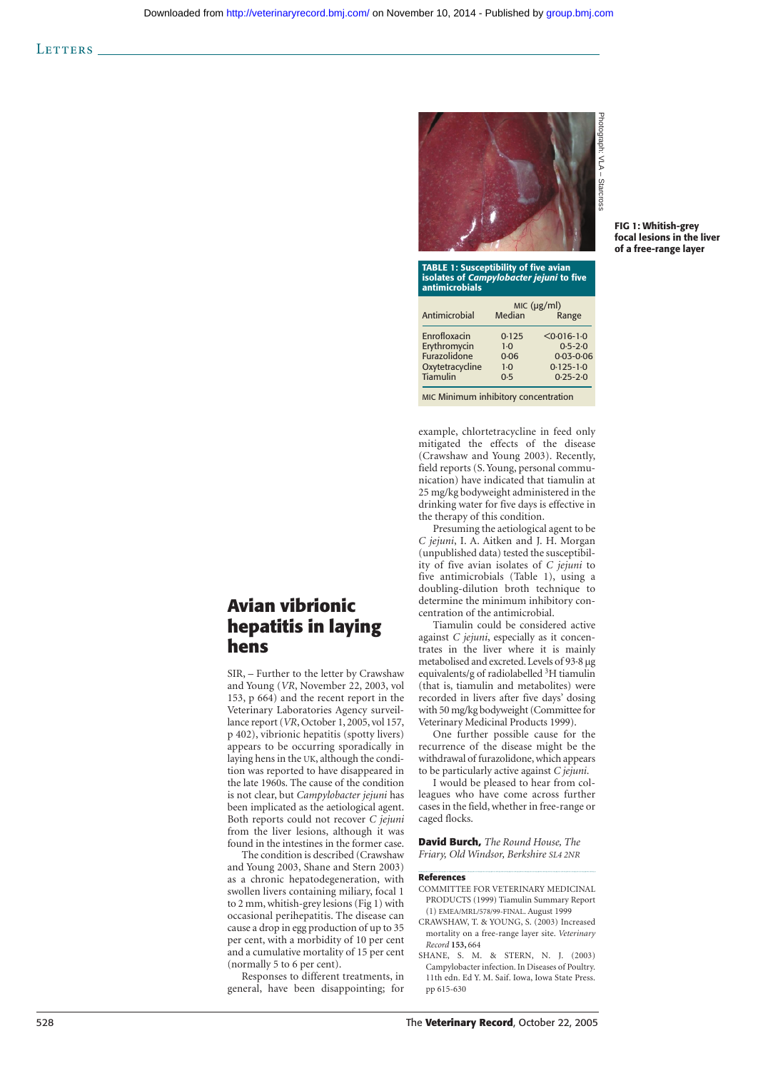

| isolates of Campylobacter jejuni to five<br><b>antimicrobials</b> |             |                 |
|-------------------------------------------------------------------|-------------|-----------------|
|                                                                   | MIC (µg/ml) |                 |
| Antimicrobial                                                     | Median      | Range           |
| Enrofloxacin                                                      | 0.125       | $< 0.016 - 1.0$ |
| Erythromycin                                                      | $1-0$       | $0.5 - 2.0$     |
| Furazolidone                                                      | 0.06        | $0.03 - 0.06$   |
| Oxytetracycline                                                   | $1-0$       | $0.125 - 1.0$   |
| <b>Tiamulin</b>                                                   | 0.5         | $0.25 - 2.0$    |
| MIC Minimum inhibitory concentration                              |             |                 |

example, chlortetracycline in feed only mitigated the effects of the disease (Crawshaw and Young 2003). Recently, field reports (S. Young, personal communication) have indicated that tiamulin at 25 mg/kg bodyweight administered in the drinking water for five days is effective in the therapy of this condition.

Presuming the aetiological agent to be *C jejuni*, I. A. Aitken and J. H. Morgan (unpublished data) tested the susceptibility of five avian isolates of *C jejuni* to five antimicrobials (Table 1), using a doubling-dilution broth technique to determine the minimum inhibitory concentration of the antimicrobial.

Tiamulin could be considered active against *C jejuni*, especially as it concentrates in the liver where it is mainly metabolised and excreted. Levels of 93·8 µg equivalents/g of radiolabelled <sup>3</sup>H tiamulin (that is, tiamulin and metabolites) were recorded in livers after five days' dosing with 50 mg/kg bodyweight (Committee for Veterinary Medicinal Products 1999).

One further possible cause for the recurrence of the disease might be the withdrawal of furazolidone, which appears to be particularly active against *C jejuni* .

I would be pleased to hear from colleagues who have come across further cases in the field, whether in free-range or caged flocks.

**David Burch,** *The Round House, The Friary, Old Windsor, Berkshire SL4 2NR*

## **References**

- COMMITTEE FOR VETERINARY MEDICINAL PRODUCTS (1999) Tiamulin Summary Report (1) EMEA/MRL/578/99-FINAL. August 1999
- CRAWSHAW, T. & YOUNG, S. (2003) Increased mortality on a free-range layer site. *Veterinary Record* **153,** 664
- SHANE, S. M. & STERN, N. J. (2003) Campylobacter infection. In Diseases of Poultry. 11th edn. Ed Y. M. Saif. Iowa, Iowa State Press. pp 615-630

## **Avian vibrionic hepatitis in laying hens**

SIR, – Further to the letter by Crawshaw and Young (*VR*, November 22, 2003, vol 153, p 664) and the recent report in the Veterinary Laboratories Agency surveillance report (*VR*, October 1, 2005, vol 157, p 402), vibrionic hepatitis (spotty livers) appears to be occurring sporadically in laying hens in the UK, although the condition was reported to have disappeared in the late 1960s. The cause of the condition is not clear, but *Campylobacter jejuni* has been implicated as the aetiological agent. Both reports could not recover *C jejuni* from the liver lesions, although it was found in the intestines in the former case.

The condition is described (Crawshaw and Young 2003, Shane and Stern 2003) as a chronic hepatodegeneration, with swollen livers containing miliary, focal 1 to 2 mm, whitish-grey lesions (Fig 1) with occasional perihepatitis. The disease can cause a drop in egg production of up to 35 per cent, with a morbidity of 10 per cent and a cumulative mortality of 15 per cent (normally 5 to 6 per cent).

Responses to different treatments, in general, have been disappointing; for **FIG 1: Whitish-grey focal lesions in the liver of a free-range layer**